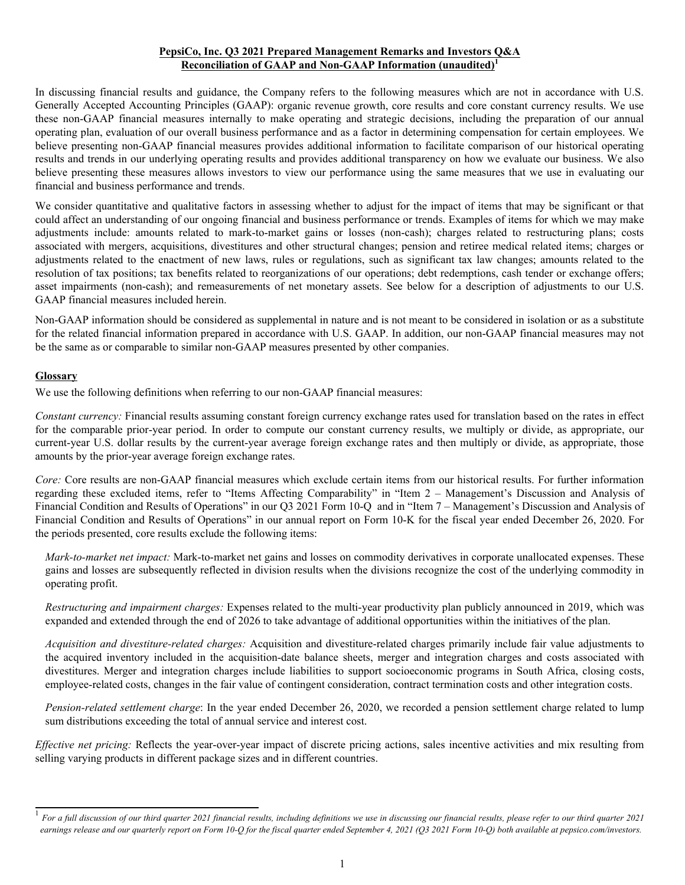## **PepsiCo, Inc. Q3 2021 Prepared Management Remarks and Investors Q&A Reconciliation of GAAP and Non-GAAP Information (unaudited)<sup>1</sup>**

In discussing financial results and guidance, the Company refers to the following measures which are not in accordance with U.S. Generally Accepted Accounting Principles (GAAP): organic revenue growth, core results and core constant currency results. We use these non-GAAP financial measures internally to make operating and strategic decisions, including the preparation of our annual operating plan, evaluation of our overall business performance and as a factor in determining compensation for certain employees. We believe presenting non-GAAP financial measures provides additional information to facilitate comparison of our historical operating results and trends in our underlying operating results and provides additional transparency on how we evaluate our business. We also believe presenting these measures allows investors to view our performance using the same measures that we use in evaluating our financial and business performance and trends.

We consider quantitative and qualitative factors in assessing whether to adjust for the impact of items that may be significant or that could affect an understanding of our ongoing financial and business performance or trends. Examples of items for which we may make adjustments include: amounts related to mark-to-market gains or losses (non-cash); charges related to restructuring plans; costs associated with mergers, acquisitions, divestitures and other structural changes; pension and retiree medical related items; charges or adjustments related to the enactment of new laws, rules or regulations, such as significant tax law changes; amounts related to the resolution of tax positions; tax benefits related to reorganizations of our operations; debt redemptions, cash tender or exchange offers; asset impairments (non-cash); and remeasurements of net monetary assets. See below for a description of adjustments to our U.S. GAAP financial measures included herein.

Non-GAAP information should be considered as supplemental in nature and is not meant to be considered in isolation or as a substitute for the related financial information prepared in accordance with U.S. GAAP. In addition, our non-GAAP financial measures may not be the same as or comparable to similar non-GAAP measures presented by other companies.

## **Glossary**

We use the following definitions when referring to our non-GAAP financial measures:

*Constant currency:* Financial results assuming constant foreign currency exchange rates used for translation based on the rates in effect for the comparable prior-year period. In order to compute our constant currency results, we multiply or divide, as appropriate, our current-year U.S. dollar results by the current-year average foreign exchange rates and then multiply or divide, as appropriate, those amounts by the prior-year average foreign exchange rates.

*Core:* Core results are non-GAAP financial measures which exclude certain items from our historical results. For further information regarding these excluded items, refer to "Items Affecting Comparability" in "Item 2 – Management's Discussion and Analysis of Financial Condition and Results of Operations" in our Q3 2021 Form 10-Q and in "Item 7 – Management's Discussion and Analysis of Financial Condition and Results of Operations" in our annual report on Form 10-K for the fiscal year ended December 26, 2020. For the periods presented, core results exclude the following items:

*Mark-to-market net impact:* Mark-to-market net gains and losses on commodity derivatives in corporate unallocated expenses. These gains and losses are subsequently reflected in division results when the divisions recognize the cost of the underlying commodity in operating profit.

*Restructuring and impairment charges:* Expenses related to the multi-year productivity plan publicly announced in 2019, which was expanded and extended through the end of 2026 to take advantage of additional opportunities within the initiatives of the plan.

*Acquisition and divestiture-related charges:* Acquisition and divestiture-related charges primarily include fair value adjustments to the acquired inventory included in the acquisition-date balance sheets, merger and integration charges and costs associated with divestitures. Merger and integration charges include liabilities to support socioeconomic programs in South Africa, closing costs, employee-related costs, changes in the fair value of contingent consideration, contract termination costs and other integration costs.

*Pension-related settlement charge*: In the year ended December 26, 2020, we recorded a pension settlement charge related to lump sum distributions exceeding the total of annual service and interest cost.

*Effective net pricing:* Reflects the year-over-year impact of discrete pricing actions, sales incentive activities and mix resulting from selling varying products in different package sizes and in different countries.

<sup>&</sup>lt;sup>1</sup> For a full discussion of our third quarter 2021 financial results, including definitions we use in discussing our financial results, please refer to our third quarter 2021 *earnings release and our quarterly report on Form 10-Q for the fiscal quarter ended September 4, 2021 (Q3 2021 Form 10-Q) both available at pepsico.com/investors.*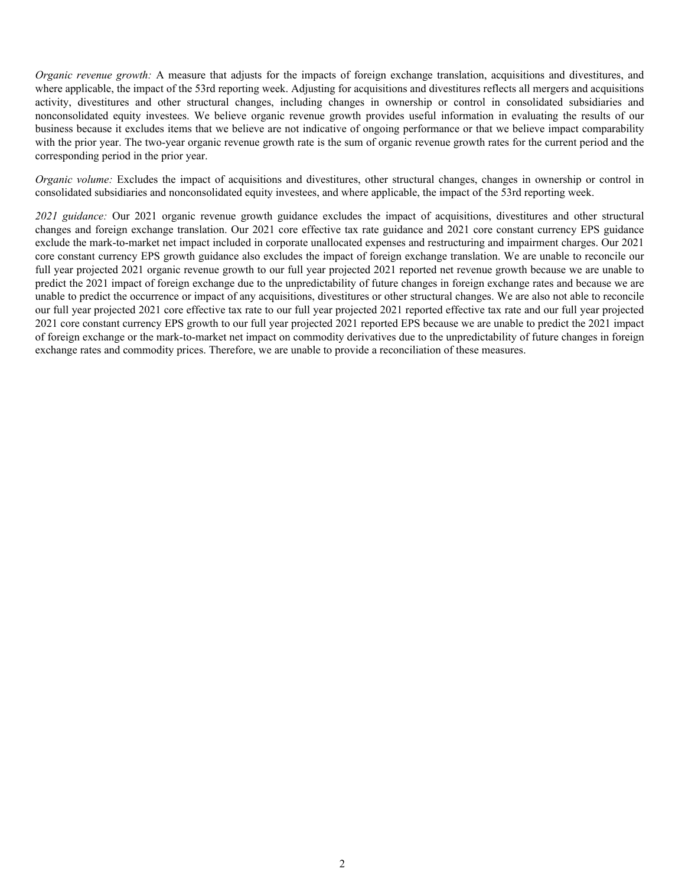*Organic revenue growth:* A measure that adjusts for the impacts of foreign exchange translation, acquisitions and divestitures, and where applicable, the impact of the 53rd reporting week. Adjusting for acquisitions and divestitures reflects all mergers and acquisitions activity, divestitures and other structural changes, including changes in ownership or control in consolidated subsidiaries and nonconsolidated equity investees. We believe organic revenue growth provides useful information in evaluating the results of our business because it excludes items that we believe are not indicative of ongoing performance or that we believe impact comparability with the prior year. The two-year organic revenue growth rate is the sum of organic revenue growth rates for the current period and the corresponding period in the prior year.

*Organic volume:* Excludes the impact of acquisitions and divestitures, other structural changes, changes in ownership or control in consolidated subsidiaries and nonconsolidated equity investees, and where applicable, the impact of the 53rd reporting week.

*2021 guidance:* Our 2021 organic revenue growth guidance excludes the impact of acquisitions, divestitures and other structural changes and foreign exchange translation. Our 2021 core effective tax rate guidance and 2021 core constant currency EPS guidance exclude the mark-to-market net impact included in corporate unallocated expenses and restructuring and impairment charges. Our 2021 core constant currency EPS growth guidance also excludes the impact of foreign exchange translation. We are unable to reconcile our full year projected 2021 organic revenue growth to our full year projected 2021 reported net revenue growth because we are unable to predict the 2021 impact of foreign exchange due to the unpredictability of future changes in foreign exchange rates and because we are unable to predict the occurrence or impact of any acquisitions, divestitures or other structural changes. We are also not able to reconcile our full year projected 2021 core effective tax rate to our full year projected 2021 reported effective tax rate and our full year projected 2021 core constant currency EPS growth to our full year projected 2021 reported EPS because we are unable to predict the 2021 impact of foreign exchange or the mark-to-market net impact on commodity derivatives due to the unpredictability of future changes in foreign exchange rates and commodity prices. Therefore, we are unable to provide a reconciliation of these measures.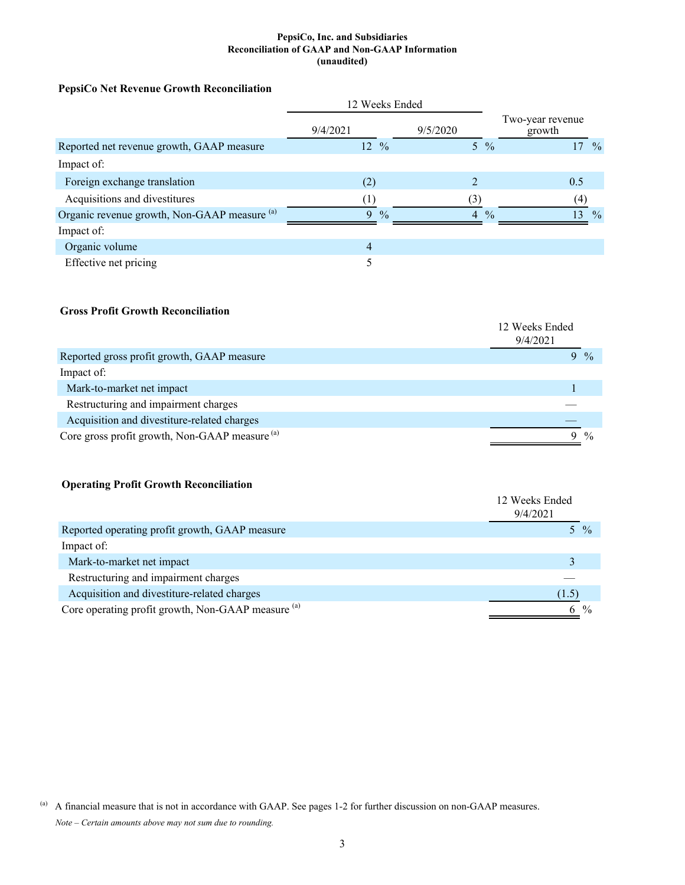#### **PepsiCo, Inc. and Subsidiaries Reconciliation of GAAP and Non-GAAP Information (unaudited)**

## **PepsiCo Net Revenue Growth Reconciliation**

|                                              | 12 Weeks Ended     |                                 |                                  |
|----------------------------------------------|--------------------|---------------------------------|----------------------------------|
|                                              | 9/4/2021           | 9/5/2020                        | Two-year revenue<br>growth       |
| Reported net revenue growth, GAAP measure    | 12 %               | $5\frac{9}{6}$                  | 17<br>$\frac{0}{0}$              |
| Impact of:                                   |                    |                                 |                                  |
| Foreign exchange translation                 | (2)                | <sup>1</sup>                    | 0.5                              |
| Acquisitions and divestitures                |                    | (3)                             | (4)                              |
| Organic revenue growth, Non-GAAP measure (a) | 9<br>$\frac{0}{0}$ | $\overline{4}$<br>$\frac{0}{0}$ | 13 <sup>°</sup><br>$\frac{0}{0}$ |
| Impact of:                                   |                    |                                 |                                  |
| Organic volume                               | $\overline{4}$     |                                 |                                  |
| Effective net pricing                        | 5                  |                                 |                                  |

### **Gross Profit Growth Reconciliation**

|                                                           | 12 Weeks Ended<br>9/4/2021 |       |
|-----------------------------------------------------------|----------------------------|-------|
| Reported gross profit growth, GAAP measure                |                            | $9\%$ |
| Impact of:                                                |                            |       |
| Mark-to-market net impact                                 |                            |       |
| Restructuring and impairment charges                      |                            |       |
| Acquisition and divestiture-related charges               |                            |       |
| Core gross profit growth, Non-GAAP measure <sup>(a)</sup> |                            |       |

## **Operating Profit Growth Reconciliation**

|                                                               | 12 Weeks Ended<br>9/4/2021 |
|---------------------------------------------------------------|----------------------------|
| Reported operating profit growth, GAAP measure                | 5 %                        |
| Impact of:                                                    |                            |
| Mark-to-market net impact                                     |                            |
| Restructuring and impairment charges                          |                            |
| Acquisition and divestiture-related charges                   | (1.5)                      |
| Core operating profit growth, Non-GAAP measure <sup>(a)</sup> | $\frac{0}{0}$              |

<sup>(</sup>a) A financial measure that is not in accordance with GAAP. See pages 1-2 for further discussion on non-GAAP measures. *Note – Certain amounts above may not sum due to rounding.*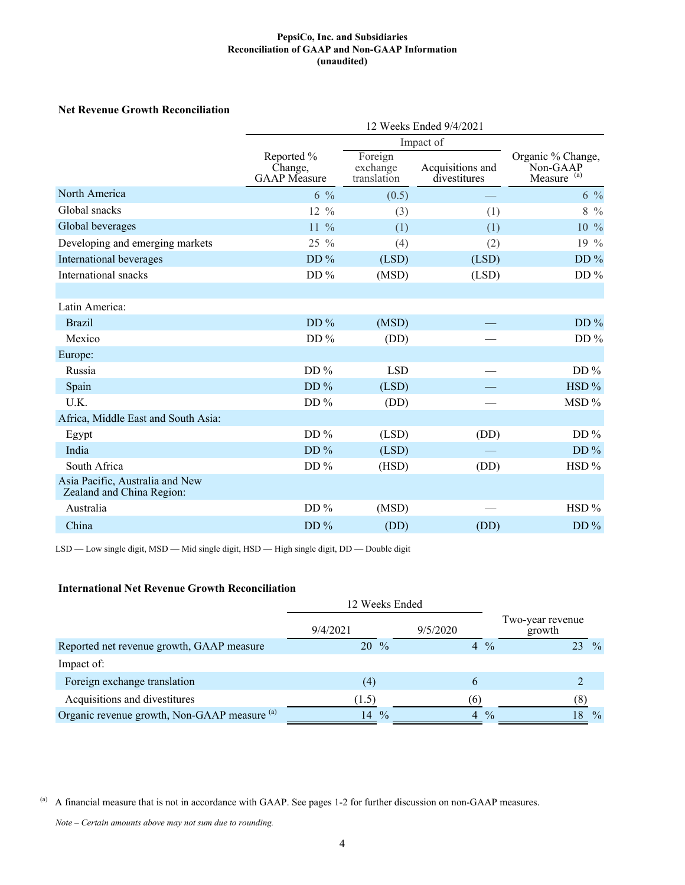#### **PepsiCo, Inc. and Subsidiaries Reconciliation of GAAP and Non-GAAP Information (unaudited)**

## **Net Revenue Growth Reconciliation**

| 12 Weeks Ended 9/4/2021                      |                                    |                                  |                                                         |  |  |  |
|----------------------------------------------|------------------------------------|----------------------------------|---------------------------------------------------------|--|--|--|
|                                              |                                    |                                  |                                                         |  |  |  |
| Reported %<br>Change.<br><b>GAAP</b> Measure | Foreign<br>exchange<br>translation | Acquisitions and<br>divestitures | Organic % Change,<br>Non-GAAP<br>Measure <sup>(a)</sup> |  |  |  |
| $6\frac{9}{6}$                               | (0.5)                              |                                  | $6\frac{9}{6}$                                          |  |  |  |
| 12 %                                         | (3)                                | (1)                              | $8\frac{9}{6}$                                          |  |  |  |
| $11\frac{9}{6}$                              | (1)                                | (1)                              | 10 %                                                    |  |  |  |
| $25\%$                                       | (4)                                | (2)                              | 19 %                                                    |  |  |  |
| $DD\%$                                       | (LSD)                              | (LSD)                            | DD $%$                                                  |  |  |  |
| DD $%$                                       | (MSD)                              | (LSD)                            | DD%                                                     |  |  |  |
|                                              |                                    |                                  |                                                         |  |  |  |
|                                              |                                    |                                  |                                                         |  |  |  |
| DD%                                          | (MSD)                              |                                  | DD $%$                                                  |  |  |  |
| DD $%$                                       | (DD)                               |                                  | DD $%$                                                  |  |  |  |
|                                              |                                    |                                  |                                                         |  |  |  |
| DD $%$                                       | <b>LSD</b>                         |                                  | DD $%$                                                  |  |  |  |
| DD $%$                                       | (LSD)                              |                                  | HSD %                                                   |  |  |  |
| DD $%$                                       | (DD)                               |                                  | MSD %                                                   |  |  |  |
|                                              |                                    |                                  |                                                         |  |  |  |
| DD $%$                                       | (LSD)                              | (DD)                             | DD $%$                                                  |  |  |  |
| DD $%$                                       | (LSD)                              |                                  | DD $%$                                                  |  |  |  |
| DD $%$                                       | (HSD)                              | (DD)                             | HSD %                                                   |  |  |  |
|                                              |                                    |                                  |                                                         |  |  |  |
| DD $%$                                       | (MSD)                              |                                  | $HSD\%$                                                 |  |  |  |
| DD%                                          | (DD)                               | (DD)                             | DD $%$                                                  |  |  |  |
|                                              |                                    |                                  | Impact of                                               |  |  |  |

LSD — Low single digit, MSD — Mid single digit, HSD — High single digit, DD — Double digit

### **International Net Revenue Growth Reconciliation**

|                                                         | 12 Weeks Ended      |                                 |                            |
|---------------------------------------------------------|---------------------|---------------------------------|----------------------------|
|                                                         | 9/4/2021            | 9/5/2020                        | Two-year revenue<br>growth |
| Reported net revenue growth, GAAP measure               | $20\frac{9}{6}$     | $4\frac{9}{6}$                  | $\frac{0}{0}$<br>23.       |
| Impact of:                                              |                     |                                 |                            |
| Foreign exchange translation                            | (4)                 |                                 |                            |
| Acquisitions and divestitures                           | (1.5)               | (6)                             |                            |
| Organic revenue growth, Non-GAAP measure <sup>(a)</sup> | $\frac{0}{0}$<br>14 | $\frac{0}{0}$<br>$\overline{4}$ | $\frac{0}{0}$              |

(a) A financial measure that is not in accordance with GAAP. See pages 1-2 for further discussion on non-GAAP measures.

*Note – Certain amounts above may not sum due to rounding.*